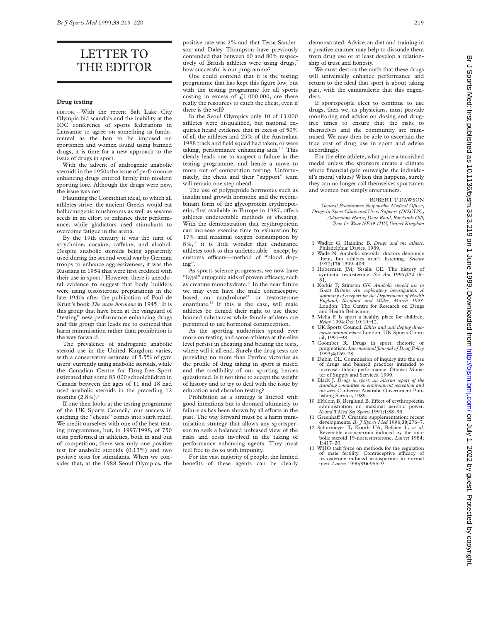## LETTER TO THE EDITOR

#### **Drug testing**

EDITOR,—With the recent Salt Lake City Olympic bid scandals and the inability at the IOC conference of sports federations in Lausanne to agree on something as fundamental as the ban to be imposed on sportsmen and women found using banned drugs, it is time for a new approach to the issue of drugs in sport.

With the advent of androgenic anabolic steroids in the 1950s the issue of performance enhancing drugs entered firmly into modern sporting lore. Although the drugs were new, the issue was not.

Flaunting the Corinthian ideal, to which all athletes strive, the ancient Greeks would eat hallucinogenic mushrooms as well as sesame seeds in an effort to enhance their performance, while gladiators used stimulants to overcome fatigue in the arena.<sup>1</sup>

By the 19th century it was the turn of strychnine, cocaine, caffeine, and alcohol. Despite anabolic steroids being apparently used during the second world war by German troops to enhance aggressiveness, it was the Russians in 1954 that were first credited with their use in sport.<sup>2</sup> However, there is anecdotal evidence to suggest that body builders were using testosterone preparations in the late 1940s after the publication of Paul de Kruif's book *The male hormone* in 1945.<sup>3</sup> It is this group that have been at the vanguard of "testing" new performance enhancing drugs and this group that leads me to contend that harm minimisation rather than prohibition is the way forward.

The prevalence of androgenic anabolic steroid use in the United Kingdom varies, with a conservative estimate of 5.5% of gym users<sup>4</sup> currently using anabolic steroids, while the Canadian Centre for Drug-free Sport estimated that some 83 000 schoolchildren in Canada between the ages of 11 and 18 had used anabolic steroids in the preceding 12 months  $(2.8\%)$ .

If one then looks at the testing programme of the UK Sports Council,<sup>6</sup> our success in catching the "cheats" comes into stark relief. We credit ourselves with one of the best testing programmes, but, in 1997/1998, of 750 tests performed in athletics, both in and out of competition, there was only one positive test for anabolic steroids (0.13%) and two positive tests for stimulants. When we consider that, at the 1988 Seoul Olympics, the

positive rate was 2% and that Tessa Sanderson and Daley Thompson have previously contended that between 60 and 80% respectively of British athletes were using drugs,<sup>7</sup> how successful is our programme?

One could contend that it is the testing programme that has kept this figure low, but with the testing programme for all sports costing in excess of  $\text{\textsterling}1000000$ , are there really the resources to catch the cheat, even if there is the will?

In the Seoul Olympics only 10 of 13 000 athletes were disqualified, but national enquiries heard evidence that in excess of 50% of all the athletes and 25% of the Australian 1988 track and field squad had taken, or were taking, performance enhancing aids.89 This clearly leads one to suspect a failure in the testing programme, and hence a move to more out of competition testing. Unfortunately, the cheat and their "support" team will remain one step ahead.

The use of polypeptide hormones such as insulin and growth hormone and the recombinant form of the glycoprotein erythropoietin, first available in Europe in 1987, offers athletes undetectable methods of cheating. With the demonstration that erythropoietin can increase exercise time to exhaustion by 17% and maximal oxygen consumption by 8%,<sup>10</sup> it is little wonder that endurance athletes took to this undetectable—except by customs officers—method of "blood doping".

As sports science progresses, we now have "legal" ergogenic aids of proven efficacy, such as creatine monohydrate.<sup>11</sup> In the near future we may even have the male contraceptive based on nandrolone<sup>12</sup> or testosterone enanthate.<sup>13</sup> If this is the case, will male athletes be denied their right to use these banned substances while female athletes are permitted to use hormonal contraception.

As the sporting authorities spend ever more on testing and some athletes at the elite level persist in cheating and beating the tests, where will it all end. Surely the drug tests are providing no more than Pyrrhic victories as the profile of drug taking in sport is raised and the credibility of our sporting heroes questioned. Is it not time to accept the weight of history and to try to deal with the issue by education and abandon testing?

Prohibition as a strategy is littered with good intentions but is doomed ultimately to failure as has been shown by all efforts in the past. The way forward must be a harm minimisation strategy that allows any sportsperson to seek a balanced unbiased view of the risks and costs involved in the taking of performance enhancing agents. They must feel free to do so with impunity.

For the vast majority of people, the limited benefits of these agents can be clearly

demonstrated. Advice on diet and training in a positive manner may help to dissuade them from drug use or at least develop a relationship of trust and honesty.

We must destroy the myth that these drugs will universally enhance performance and return to the ideal that sport is about taking part, with the camaraderie that this engenders.

If sportspeople elect to continue to use drugs, then we, as physicians, must provide monitoring and advice on dosing and drugfree times to ensure that the risks to themselves and the community are minimised. We may then be able to ascertain the true cost of drug use in sport and advise accordingly.

For the elite athlete, what price a tarnished medal unless the sponsors create a climate where financial gain outweighs the individual's moral values? When this happens, surely they can no longer call themselves sportsmen and women but simply entertainers.

#### ROBERT T DAWSON

*General Practitioner, Responsible Medical OYcer, Drugs in Sport Clinic and Users Support (DISCUS), Adderstone House, Dene Road, Rowlands Gill, Tyne & Wear NE39 1DU, United Kingdom*

- 1 Wadler G, Hainline B. *Drugs and the athlete*. Philadelphia: Davies, 1989. 2 Wade N. Anabolic steroids: doctors denounce
- them, but athletes aren't listening. *Science* 1972;**176**:1399–403.
- 3 Hoberman JM, Yesalis CE. The history of synthetic testosterone. *Sci Am* 1995;**272**:76–
- 81. 4 Korkia P, Stimson GV. *Anabolic steroid use in Great Britain. An exploratory investigation. A summary of a report for the Departments of Health England, Scotland and Wales, March 1993*. London: The Centre for Research on Drugs and Health Behaviour.
- 5 Melia P. Is sport a healthy place for children. *Relay* 1994;Oct 10:10−12.
- 6 UK Sports Council. *Ethics and anti doping directorate annual report* London: UK Sports Council, 1997−98.
- 7 Coomber R. Drugs in sport: rhetoric or pragmatism. *International Journal of Drug Policy* 1993;**4**;169–78.
- 8 Dubin CL. Commission of inquiry into the use<br>of drugs and banned practices intended to of drugs and banned practices increase athletic performance. Ottawa: Minister of Supply and Services, 1990.
- 9 Black J. *Drugs in sport: an interim report of the standing committee on environment recreation and the arts.* Canberra: Australia Government Publishing Service, 1989.
- 10 Ekblom B, Berglund B. Effect of erythropoietin administration on maximal aerobic power. *Scand J Med Sci Sports* 1991;**1**:88–93.
- 11 Greenhaff P. Creatine supplementation: recent
- developments. *Br J Sports Med* 1996;**30**;276–7. 12 Schurmeyer T, Knuth UA, Belkien L, *et al*. Reversible azoospermia induced by the ana-bolic steroid 19-nortestosterone. *Lancet* 1984; **1**:417–20.
- 13 WHO task force on methods for the regulation of male fertility. Contraceptive efficacy of testosterone induced azoospermia in normal men. *Lancet* 1990;**336**:955–9.